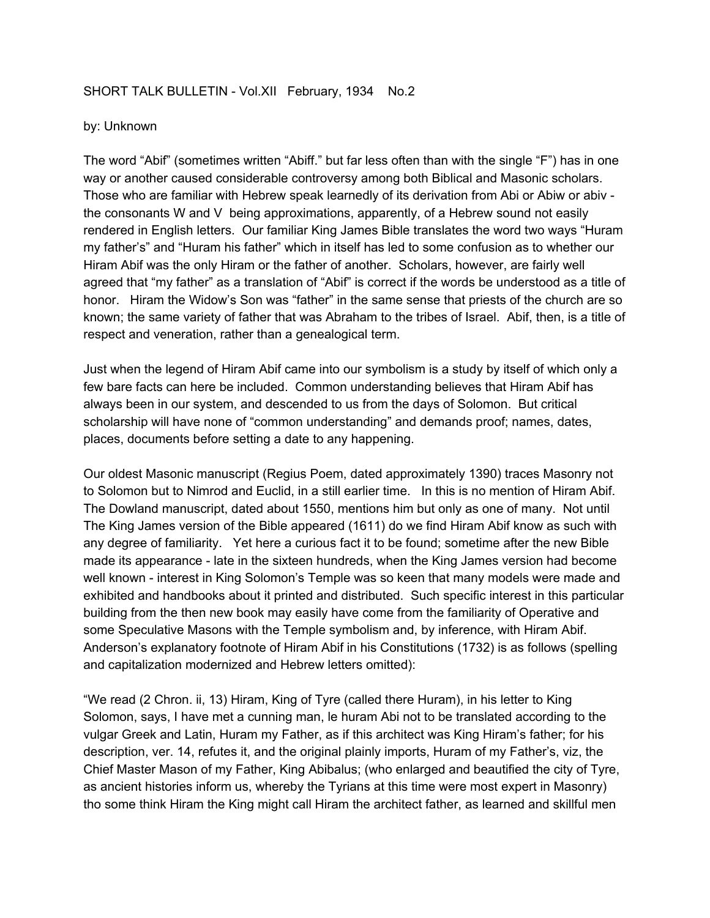## SHORT TALK BULLETIN - Vol.XII February, 1934 No.2

## by: Unknown

The word "Abif" (sometimes written "Abiff." but far less often than with the single "F") has in one way or another caused considerable controversy among both Biblical and Masonic scholars. Those who are familiar with Hebrew speak learnedly of its derivation from Abi or Abiw or abiv the consonants W and V being approximations, apparently, of a Hebrew sound not easily rendered in English letters. Our familiar King James Bible translates the word two ways "Huram my father's" and "Huram his father" which in itself has led to some confusion as to whether our Hiram Abif was the only Hiram or the father of another. Scholars, however, are fairly well agreed that "my father" as a translation of "Abif" is correct if the words be understood as a title of honor. Hiram the Widow's Son was "father" in the same sense that priests of the church are so known; the same variety of father that was Abraham to the tribes of Israel. Abif, then, is a title of respect and veneration, rather than a genealogical term.

Just when the legend of Hiram Abif came into our symbolism is a study by itself of which only a few bare facts can here be included. Common understanding believes that Hiram Abif has always been in our system, and descended to us from the days of Solomon. But critical scholarship will have none of "common understanding" and demands proof; names, dates, places, documents before setting a date to any happening.

Our oldest Masonic manuscript (Regius Poem, dated approximately 1390) traces Masonry not to Solomon but to Nimrod and Euclid, in a still earlier time. In this is no mention of Hiram Abif. The Dowland manuscript, dated about 1550, mentions him but only as one of many. Not until The King James version of the Bible appeared (1611) do we find Hiram Abif know as such with any degree of familiarity. Yet here a curious fact it to be found; sometime after the new Bible made its appearance - late in the sixteen hundreds, when the King James version had become well known - interest in King Solomon's Temple was so keen that many models were made and exhibited and handbooks about it printed and distributed. Such specific interest in this particular building from the then new book may easily have come from the familiarity of Operative and some Speculative Masons with the Temple symbolism and, by inference, with Hiram Abif. Anderson's explanatory footnote of Hiram Abif in his Constitutions (1732) is as follows (spelling and capitalization modernized and Hebrew letters omitted):

"We read (2 Chron. ii, 13) Hiram, King of Tyre (called there Huram), in his letter to King Solomon, says, I have met a cunning man, le huram Abi not to be translated according to the vulgar Greek and Latin, Huram my Father, as if this architect was King Hiram's father; for his description, ver. 14, refutes it, and the original plainly imports, Huram of my Father's, viz, the Chief Master Mason of my Father, King Abibalus; (who enlarged and beautified the city of Tyre, as ancient histories inform us, whereby the Tyrians at this time were most expert in Masonry) tho some think Hiram the King might call Hiram the architect father, as learned and skillful men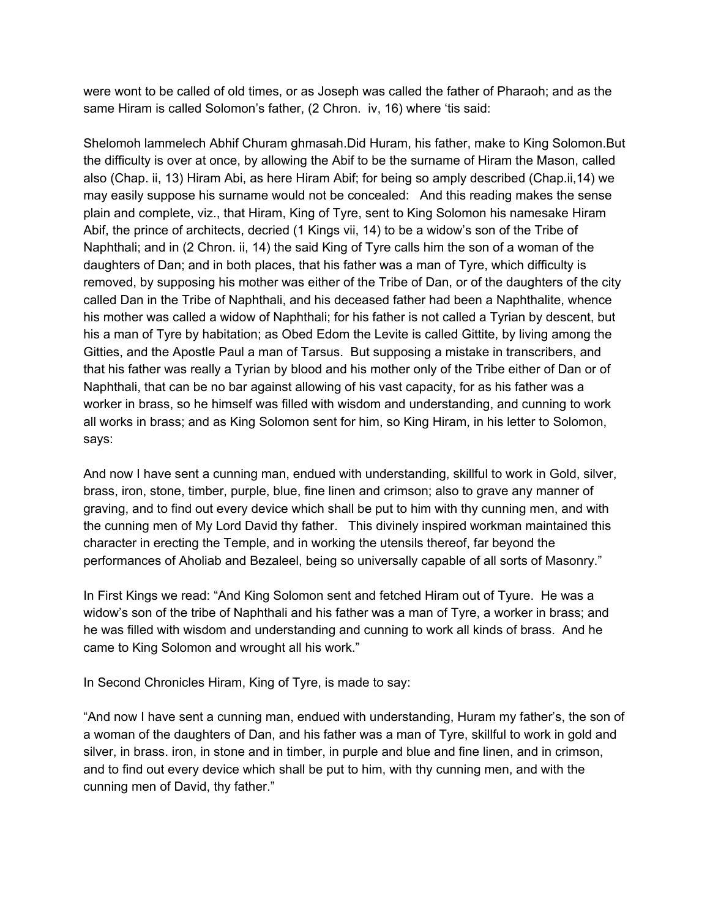were wont to be called of old times, or as Joseph was called the father of Pharaoh; and as the same Hiram is called Solomon's father, (2 Chron. iv, 16) where 'tis said:

Shelomoh lammelech Abhif Churam ghmasah.Did Huram, his father, make to King Solomon.But the difficulty is over at once, by allowing the Abif to be the surname of Hiram the Mason, called also (Chap. ii, 13) Hiram Abi, as here Hiram Abif; for being so amply described (Chap.ii,14) we may easily suppose his surname would not be concealed: And this reading makes the sense plain and complete, viz., that Hiram, King of Tyre, sent to King Solomon his namesake Hiram Abif, the prince of architects, decried (1 Kings vii, 14) to be a widow's son of the Tribe of Naphthali; and in (2 Chron. ii, 14) the said King of Tyre calls him the son of a woman of the daughters of Dan; and in both places, that his father was a man of Tyre, which difficulty is removed, by supposing his mother was either of the Tribe of Dan, or of the daughters of the city called Dan in the Tribe of Naphthali, and his deceased father had been a Naphthalite, whence his mother was called a widow of Naphthali; for his father is not called a Tyrian by descent, but his a man of Tyre by habitation; as Obed Edom the Levite is called Gittite, by living among the Gitties, and the Apostle Paul a man of Tarsus. But supposing a mistake in transcribers, and that his father was really a Tyrian by blood and his mother only of the Tribe either of Dan or of Naphthali, that can be no bar against allowing of his vast capacity, for as his father was a worker in brass, so he himself was filled with wisdom and understanding, and cunning to work all works in brass; and as King Solomon sent for him, so King Hiram, in his letter to Solomon, says:

And now I have sent a cunning man, endued with understanding, skillful to work in Gold, silver, brass, iron, stone, timber, purple, blue, fine linen and crimson; also to grave any manner of graving, and to find out every device which shall be put to him with thy cunning men, and with the cunning men of My Lord David thy father. This divinely inspired workman maintained this character in erecting the Temple, and in working the utensils thereof, far beyond the performances of Aholiab and Bezaleel, being so universally capable of all sorts of Masonry."

In First Kings we read: "And King Solomon sent and fetched Hiram out of Tyure. He was a widow's son of the tribe of Naphthali and his father was a man of Tyre, a worker in brass; and he was filled with wisdom and understanding and cunning to work all kinds of brass. And he came to King Solomon and wrought all his work."

In Second Chronicles Hiram, King of Tyre, is made to say:

"And now I have sent a cunning man, endued with understanding, Huram my father's, the son of a woman of the daughters of Dan, and his father was a man of Tyre, skillful to work in gold and silver, in brass. iron, in stone and in timber, in purple and blue and fine linen, and in crimson, and to find out every device which shall be put to him, with thy cunning men, and with the cunning men of David, thy father."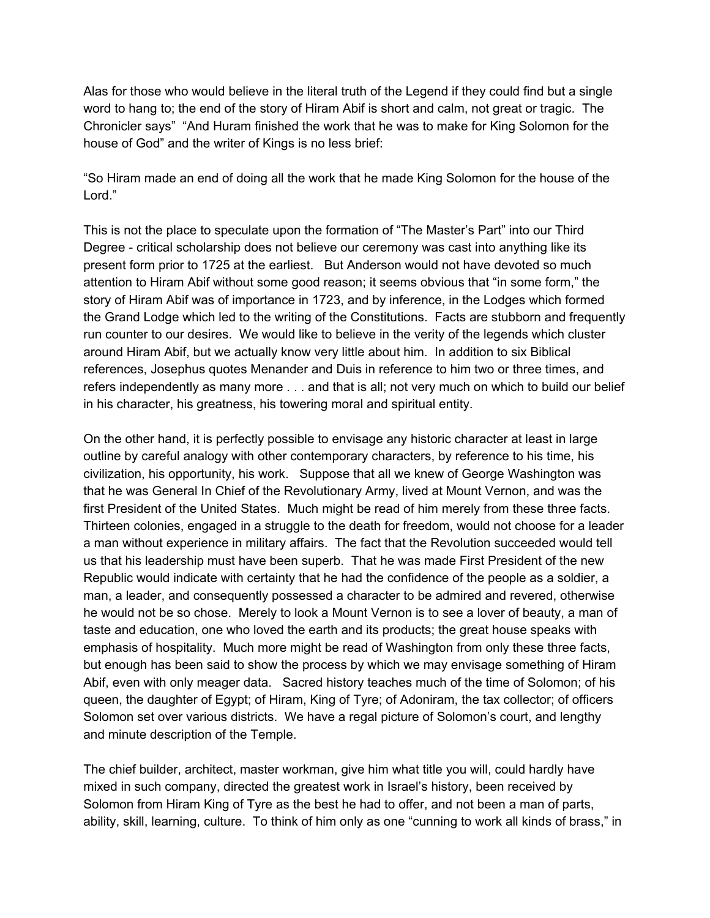Alas for those who would believe in the literal truth of the Legend if they could find but a single word to hang to; the end of the story of Hiram Abif is short and calm, not great or tragic. The Chronicler says" "And Huram finished the work that he was to make for King Solomon for the house of God" and the writer of Kings is no less brief:

"So Hiram made an end of doing all the work that he made King Solomon for the house of the Lord."

This is not the place to speculate upon the formation of "The Master's Part" into our Third Degree - critical scholarship does not believe our ceremony was cast into anything like its present form prior to 1725 at the earliest. But Anderson would not have devoted so much attention to Hiram Abif without some good reason; it seems obvious that "in some form," the story of Hiram Abif was of importance in 1723, and by inference, in the Lodges which formed the Grand Lodge which led to the writing of the Constitutions. Facts are stubborn and frequently run counter to our desires. We would like to believe in the verity of the legends which cluster around Hiram Abif, but we actually know very little about him. In addition to six Biblical references, Josephus quotes Menander and Duis in reference to him two or three times, and refers independently as many more . . . and that is all; not very much on which to build our belief in his character, his greatness, his towering moral and spiritual entity.

On the other hand, it is perfectly possible to envisage any historic character at least in large outline by careful analogy with other contemporary characters, by reference to his time, his civilization, his opportunity, his work. Suppose that all we knew of George Washington was that he was General In Chief of the Revolutionary Army, lived at Mount Vernon, and was the first President of the United States. Much might be read of him merely from these three facts. Thirteen colonies, engaged in a struggle to the death for freedom, would not choose for a leader a man without experience in military affairs. The fact that the Revolution succeeded would tell us that his leadership must have been superb. That he was made First President of the new Republic would indicate with certainty that he had the confidence of the people as a soldier, a man, a leader, and consequently possessed a character to be admired and revered, otherwise he would not be so chose. Merely to look a Mount Vernon is to see a lover of beauty, a man of taste and education, one who loved the earth and its products; the great house speaks with emphasis of hospitality. Much more might be read of Washington from only these three facts, but enough has been said to show the process by which we may envisage something of Hiram Abif, even with only meager data. Sacred history teaches much of the time of Solomon; of his queen, the daughter of Egypt; of Hiram, King of Tyre; of Adoniram, the tax collector; of officers Solomon set over various districts. We have a regal picture of Solomon's court, and lengthy and minute description of the Temple.

The chief builder, architect, master workman, give him what title you will, could hardly have mixed in such company, directed the greatest work in Israel's history, been received by Solomon from Hiram King of Tyre as the best he had to offer, and not been a man of parts, ability, skill, learning, culture. To think of him only as one "cunning to work all kinds of brass," in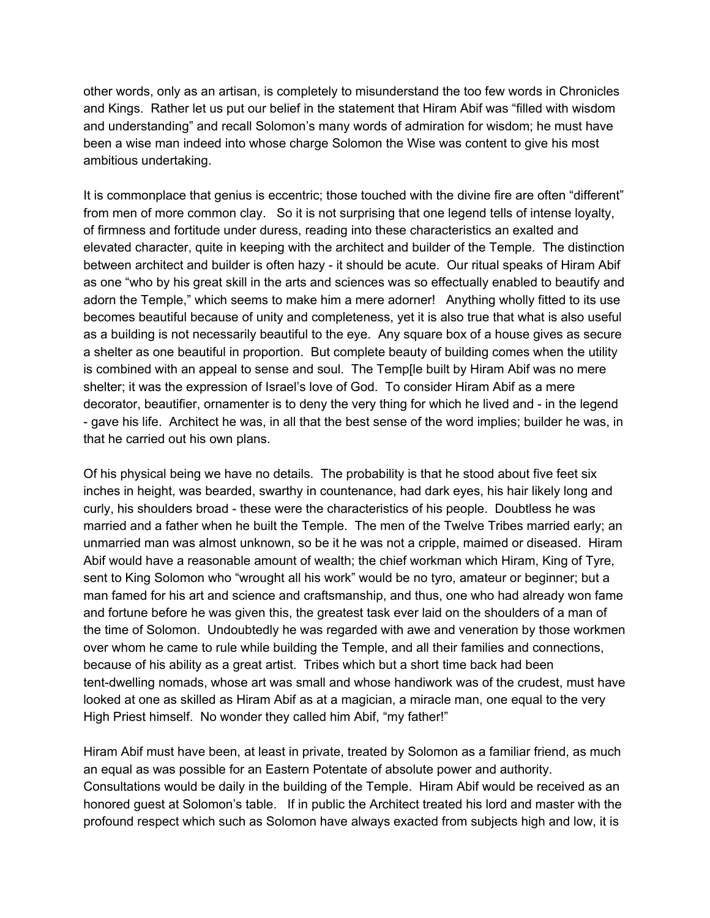other words, only as an artisan, is completely to misunderstand the too few words in Chronicles and Kings. Rather let us put our belief in the statement that Hiram Abif was "filled with wisdom and understanding" and recall Solomon's many words of admiration for wisdom; he must have been a wise man indeed into whose charge Solomon the Wise was content to give his most ambitious undertaking.

It is commonplace that genius is eccentric; those touched with the divine fire are often "different" from men of more common clay. So it is not surprising that one legend tells of intense loyalty, of firmness and fortitude under duress, reading into these characteristics an exalted and elevated character, quite in keeping with the architect and builder of the Temple. The distinction between architect and builder is often hazy - it should be acute. Our ritual speaks of Hiram Abif as one "who by his great skill in the arts and sciences was so effectually enabled to beautify and adorn the Temple," which seems to make him a mere adorner! Anything wholly fitted to its use becomes beautiful because of unity and completeness, yet it is also true that what is also useful as a building is not necessarily beautiful to the eye. Any square box of a house gives as secure a shelter as one beautiful in proportion. But complete beauty of building comes when the utility is combined with an appeal to sense and soul. The Temp[le built by Hiram Abif was no mere shelter; it was the expression of Israel's love of God. To consider Hiram Abif as a mere decorator, beautifier, ornamenter is to deny the very thing for which he lived and - in the legend - gave his life. Architect he was, in all that the best sense of the word implies; builder he was, in that he carried out his own plans.

Of his physical being we have no details. The probability is that he stood about five feet six inches in height, was bearded, swarthy in countenance, had dark eyes, his hair likely long and curly, his shoulders broad - these were the characteristics of his people. Doubtless he was married and a father when he built the Temple. The men of the Twelve Tribes married early; an unmarried man was almost unknown, so be it he was not a cripple, maimed or diseased. Hiram Abif would have a reasonable amount of wealth; the chief workman which Hiram, King of Tyre, sent to King Solomon who "wrought all his work" would be no tyro, amateur or beginner; but a man famed for his art and science and craftsmanship, and thus, one who had already won fame and fortune before he was given this, the greatest task ever laid on the shoulders of a man of the time of Solomon. Undoubtedly he was regarded with awe and veneration by those workmen over whom he came to rule while building the Temple, and all their families and connections, because of his ability as a great artist. Tribes which but a short time back had been tent-dwelling nomads, whose art was small and whose handiwork was of the crudest, must have looked at one as skilled as Hiram Abif as at a magician, a miracle man, one equal to the very High Priest himself. No wonder they called him Abif, "my father!"

Hiram Abif must have been, at least in private, treated by Solomon as a familiar friend, as much an equal as was possible for an Eastern Potentate of absolute power and authority. Consultations would be daily in the building of the Temple. Hiram Abif would be received as an honored guest at Solomon's table. If in public the Architect treated his lord and master with the profound respect which such as Solomon have always exacted from subjects high and low, it is